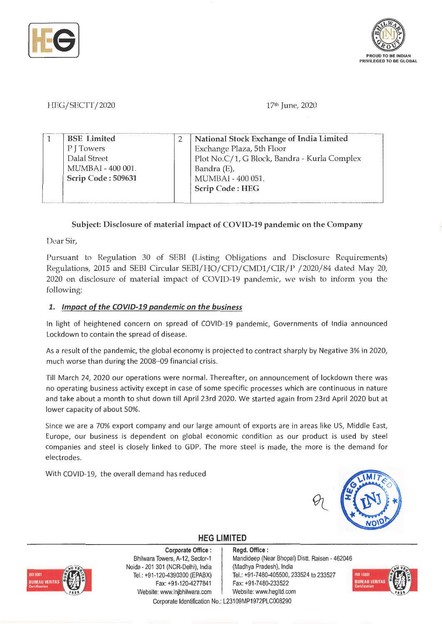



HEG/SECTT/2020

17th June, 2020

|  | <b>BSE</b> Limited | National Stock Exchange of India Limited     |
|--|--------------------|----------------------------------------------|
|  | P J Towers         | Exchange Plaza, 5th Floor                    |
|  | Dalal Street       | Plot No.C/1, G Block, Bandra - Kurla Complex |
|  | MUMBAI - 400 001.  | Bandra (E),                                  |
|  | Scrip Code: 509631 | MUMBAI - 400 051.                            |
|  |                    | Scrip Code: HEG                              |
|  |                    |                                              |

# **Subject: Disclosure of material impact of COVID-19 pandemic on the Company**

Dear Sir,

Pursuant to Regulation 30 of SEBI (Listing Obligations and Disclosure Requirements) Regulations, 2015 and SEBI Circular SEBI/HO/CFD/CMDl/CIR/P /2020/84 dated May 20, 2020 on disclosure of material impact of COVID-19 pandemic, we wish to inform you the following:

#### **1. Impact of the COV/D-19 pandemic on the business**

In light of heightened concern on spread of COVID-19 pandemic, Governments of India announced Lockdown to contain the spread of disease.

As a result of the pandemic, the global economy is projected to contract sharply by Negative 3% in 2020, much worse than during the 2008--09 financial crisis.

Till March 24, 2020 our operations were normal. Thereafter, on announcement of lockdown there was no operating business activity except in case of some specific processes which are continuous in nature and take about a month to shut down till April 23rd 2020. We started again from 23rd April 2020 but at lower capacity of about 50%.

Since we are a 70% export company and our large amount of exports are in areas like US, Middle East, Europe, our business is dependent on global economic condition as our product is used by steel companies and steel is closely linked to GDP. The more steel is made, the more is the demand for electrodes.

With COVID-19, the overall demand has reduced



# **HEG LIMITED**

BUREAU VERITAS

**Corporate Office** : Bhilwara Towers, A-12, Sector-1 Noida - 201 301 (NCR-Delhi), India Tel.: +91-120-4390300 (EPABX) Fax:+91-120-4277841 Website: www.lnjbhilwara.com | Website: www.hegltd.com

**Regd. Office** : Mandideep (Near Bhopal) Distt. Raisen - 462046 (Madhya Pradesh), India Tel.: +91-7480-405500, 233524 to 233527 Fax: +91-7480-233522 Corporate Identification No.: L23109MP1972PLC008290

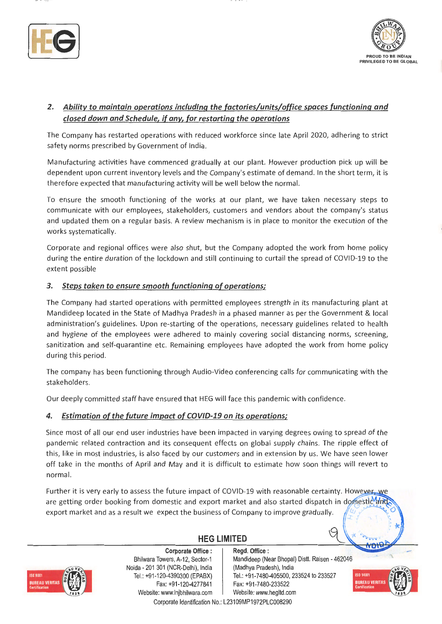



# *2. Ability to maintain operations including the factories/units/office spaces functioning and closed down and Schedule, if any, for restarting the operations*

The Company has restarted operations with reduced workforce since late April 2020, adhering to strict safety norms prescribed by Government of India.

Manufacturing activities have commenced gradually at our plant. However production pick up will be dependent upon current inventory levels and the Company's estimate of demand. In the short term, it is therefore expected that manufacturing activity will be well below the normal.

To ensure the smooth functioning of the works at our plant, we have taken necessary steps to communicate with our employees, stakeholders, customers and vendors about the company's status and updated them on a regular basis. A review mechanism is in place to monitor the execution of the works systematically.

Corporate and regional offices were also shut, but the Company adopted the work from home policy during the entire duration of the lockdown and still continuing to curtail the spread of COVID-19 to the extent possible

#### *3. Steps taken to ensure smooth functioning of operations;*

The Company had started operations with permitted employees strength in its manufacturing plant at Mandideep located in the State of Madhya Pradesh in a phased manner as per the Government & local administration's guidelines. Upon re-starting of the operations, necessary guidelines related to health and hygiene of the employees were adhered to mainly covering social distancing norms, screening, sanitization and self-quarantine etc. Remaining employees have adopted the work from home policy during this period.

The company has been functioning through Audio-Video conferencing calls for communicating with the stakeholders.

Our deeply committed staff have ensured that HEG will face this pandemic with confidence.

#### *4. Estimation of the future impact of COVID-19 on its operations;*

Since most of all our end user industries have been impacted in varying degrees owing to spread of the pandemic related contraction and its consequent effects on global supply chains. The ripple effect of this, like in most industries, is also faced by our customers and in extension by us. We have seen lower off take in the months of April and May and it is difficult to estimate how soon things will revert to normal.

Further it is very early to assess the future impact of COVID-19 with reasonable certainty. However, we are getting order booking from domestic and export market and also started dispatch in domestic and export market and as a result we expect the business of Company to improve gradually.



**Corporate Office** : **Regd. Office** : Bhilwara Towers, A-12, Sector-1 Naida - 201 301 (NCR-Delhi), India Tel.: +91 -120-4390300 (EPABX) Fax: +91-120-4277841 Website: www.lnjbhilwara.com | Website: www.hegltd.com

# **HEG LIMITED**

Mandideep (Near Bhopal) Distt. Raisen - 462046 (Madhya Pradesh), India Tel.: +91 -7480-405500, 233524 to 233527 Fax: +91 -7480-233522

9



vnť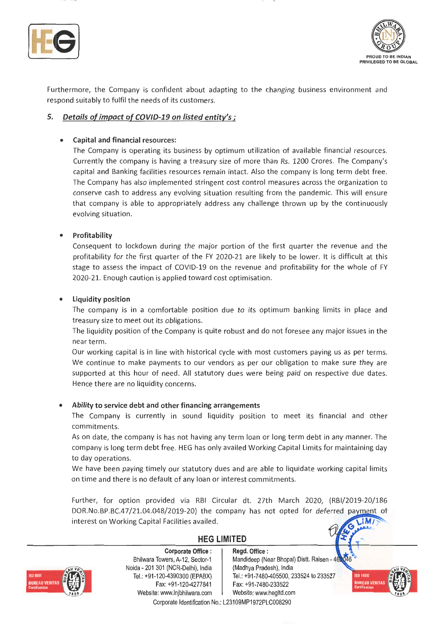



Furthermore, the Company is confident about adapting to the changing business environment and respond suitably to fulfil the needs of its customers.

#### **5. Details of impact of COVID-19 on listed entity's;**

#### • **Capital and financial resources:**

The Company is operating its business by optimum utilization of available financial resources. Currently the company is having a treasury size of more than Rs. 1200 Crores. The Company's capital and Banking facilities resources remain intact. Also the company is long term debt free. The Company has also implemented stringent cost control measures across the organization to conserve cash to address any evolving situation resulting from the pandemic. This will ensure that company is able to appropriately address any challenge thrown up by the continuously evolving situation.

#### • **Profitability**

Consequent to lockdown during the major portion of the first quarter the revenue and the profitability for the first quarter of the FY 2020-21 are likely to be lower. It is difficult at this stage to assess the impact of COVID-19 on the revenue and profitability for the whole of FY 2020-21. Enough caution is applied toward cost optimisation.

#### • **Liquidity position**

The company is in a comfortable position due to its optimum banking limits in place and treasury size to meet out its obligations.

The liquidity position of the Company is quite robust and do not foresee any major issues in the near term.

Our working capital is in line with historical cycle with most customers paying us as per terms. We continue to make payments to our vendors as per our obligation to make sure they are supported at this hour of need. All statutory dues were being paid on respective due dates. Hence there are no liquidity concerns.

#### • **Ability to service debt and other financing arrangements**

The Company is currently in sound liquidity position to meet its financial and other commitments.

As on date, the company is has not having any term loan or long term debt in any manner. The company is long term debt free. HEG has only availed Working Capital Limits for maintaining day to day operations.

We have been paying timely our statutory dues and are able to liquidate working capital limits on time and there is no default of any loan or interest commitments.

Further, for option provided via RBI Circular dt. 27th March 2020, (RBl/2019-20/186 DOR.No.BP.BC.47/21.04.048/2019-20) the company has not opted for deferred payment of interest on Working Capital Facilities availed.  $IM$ 

**HEG LIMITED** 



**Corporate Office** : Bhilwara Towers, A-12, Sector-1 Naida - 201 301 (NCR-Delhi), India Tel.: +91 -120-4390300 (EPABX) Fax: +91-120-4277841 Website: www.lnjbhilwara.com | Website: www.hegltd.com

#### **Regd. Office** : Mandideep (Near Bhopal) Distt. Raisen 46 (Madhya Pradesh), India Tel.: +91-7480-405500, 233524 to 233527

Fax: +91 -7480-233522

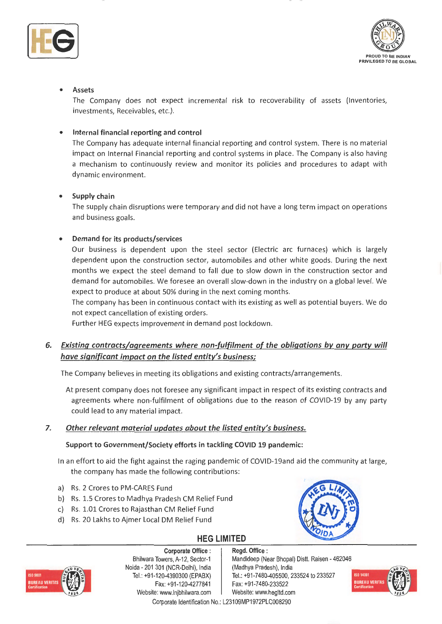



### • **Assets**

The Company does not expect incremental risk to recoverability of assets (Inventories, investments, Receivables, etc.).

#### • **Internal financial reporting and control**

The Company has adequate internal financial reporting and control system. There is no material impact on Internal Financial reporting and control systems in place. The Company is also having a mechanism to continuously review and monitor its policies and procedures to adapt with dynamic environment.

#### • **Supply chain**

The supply chain disruptions were temporary and did not have a long term impact on operations and business goals.

#### • **Demand for its products/services**

Our business is dependent upon the steel sector (Electric arc furnaces) which is largely dependent upon the construction sector, automobiles and other white goods. During the next months we expect the steel demand to fall due to slow down in the construction sector and demand for automobiles. We foresee an overall slow-down in the industry on a global level. We expect to produce at about 50% during in the next coming months.

The company has been in continuous contact with its existing as well as potential buyers. We do not expect cancellation of existing orders.

Further HEG expects improvement in demand post lockdown.

# *6. Existing contracts/ agreements where non-fulfilment of the obligations by any party will have significant impact on the listed entity's business;*

The Company believes in meeting its obligations and existing contracts/arrangements.

At present company does not foresee any significant impact in respect of its existing contracts and agreements where non-fulfilment of obligations due to the reason of COVID-19 by any party could lead to any material impact.

#### **7.**  *Other relevant material updates about the listed entity's business.*

#### **Support to Government/Society efforts in tackling COVID 19 pandemic:**

In an effort to aid the fight against the raging pandemic of COVID-19and aid the community at large, the company has made the following contributions:

- a) Rs . 2 Crores to PM-CARES Fund
- b) Rs. 1.5 Crores to Madhya Pradesh CM Relief Fund
- c) Rs. 1.01 Crores to Rajasthan CM Relief Fund
- d) Rs. 20 Lakhs to Ajmer Local DM Relief Fund

# **HEG LIMITED**



**Corporate Office** : Bhilwara Towers, A-12, Sector-1 Noida - 201 301 (NCR-Delhi}, India Tel.: +91-120-4390300 (EPABX) Fax: +91 -120-4277841

**Regd. Office** : Mandideep (Near Bhopal) Distt. Raisen - 462046 (Madhya Pradesh}, India Tel.: +91-7480-405500, 233524 to 233527 Fax: +91 -7480-233522 Website: www.lnjbhilwara.com | Website: www.hegltd.com